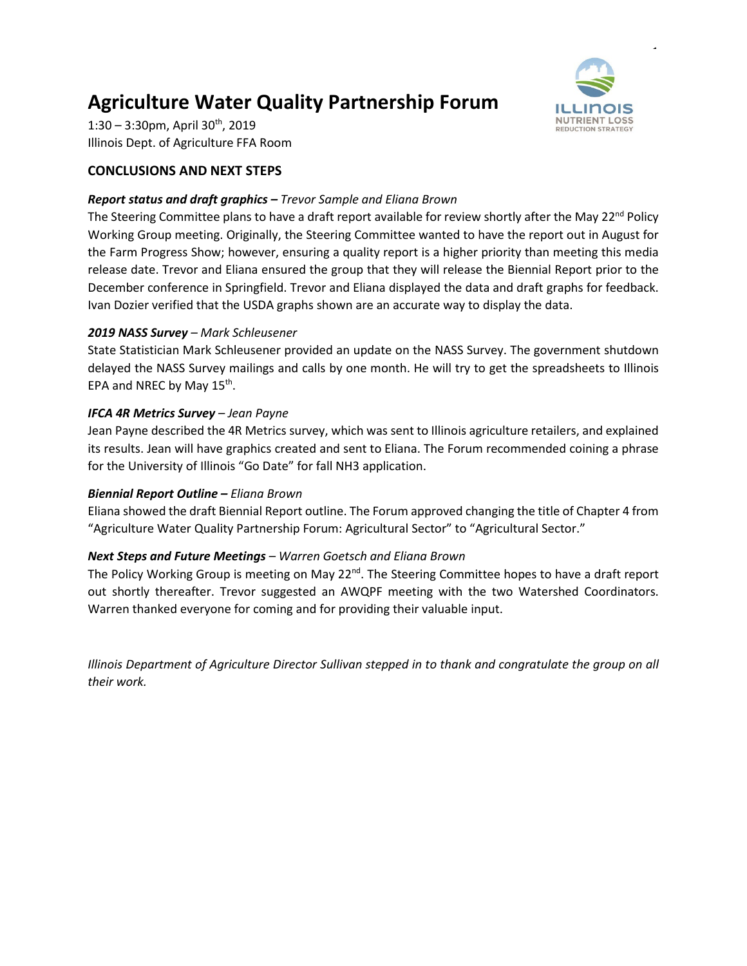# **Agriculture Water Quality Partnership Forum**



 $\ddot{\phantom{1}}$ 

 $1:30 - 3:30$ pm, April  $30<sup>th</sup>$ , 2019 Illinois Dept. of Agriculture FFA Room

# **CONCLUSIONS AND NEXT STEPS**

## *Report status and draft graphics – Trevor Sample and Eliana Brown*

The Steering Committee plans to have a draft report available for review shortly after the May 22<sup>nd</sup> Policy Working Group meeting. Originally, the Steering Committee wanted to have the report out in August for the Farm Progress Show; however, ensuring a quality report is a higher priority than meeting this media release date. Trevor and Eliana ensured the group that they will release the Biennial Report prior to the December conference in Springfield. Trevor and Eliana displayed the data and draft graphs for feedback. Ivan Dozier verified that the USDA graphs shown are an accurate way to display the data.

## *2019 NASS Survey – Mark Schleusener*

State Statistician Mark Schleusener provided an update on the NASS Survey. The government shutdown delayed the NASS Survey mailings and calls by one month. He will try to get the spreadsheets to Illinois EPA and NREC by May 15<sup>th</sup>.

# *IFCA 4R Metrics Survey – Jean Payne*

Jean Payne described the 4R Metrics survey, which was sent to Illinois agriculture retailers, and explained its results. Jean will have graphics created and sent to Eliana. The Forum recommended coining a phrase for the University of Illinois "Go Date" for fall NH3 application.

## *Biennial Report Outline – Eliana Brown*

Eliana showed the draft Biennial Report outline. The Forum approved changing the title of Chapter 4 from "Agriculture Water Quality Partnership Forum: Agricultural Sector" to "Agricultural Sector."

## *Next Steps and Future Meetings – Warren Goetsch and Eliana Brown*

The Policy Working Group is meeting on May  $22^{nd}$ . The Steering Committee hopes to have a draft report out shortly thereafter. Trevor suggested an AWQPF meeting with the two Watershed Coordinators. Warren thanked everyone for coming and for providing their valuable input.

*Illinois Department of Agriculture Director Sullivan stepped in to thank and congratulate the group on all their work.*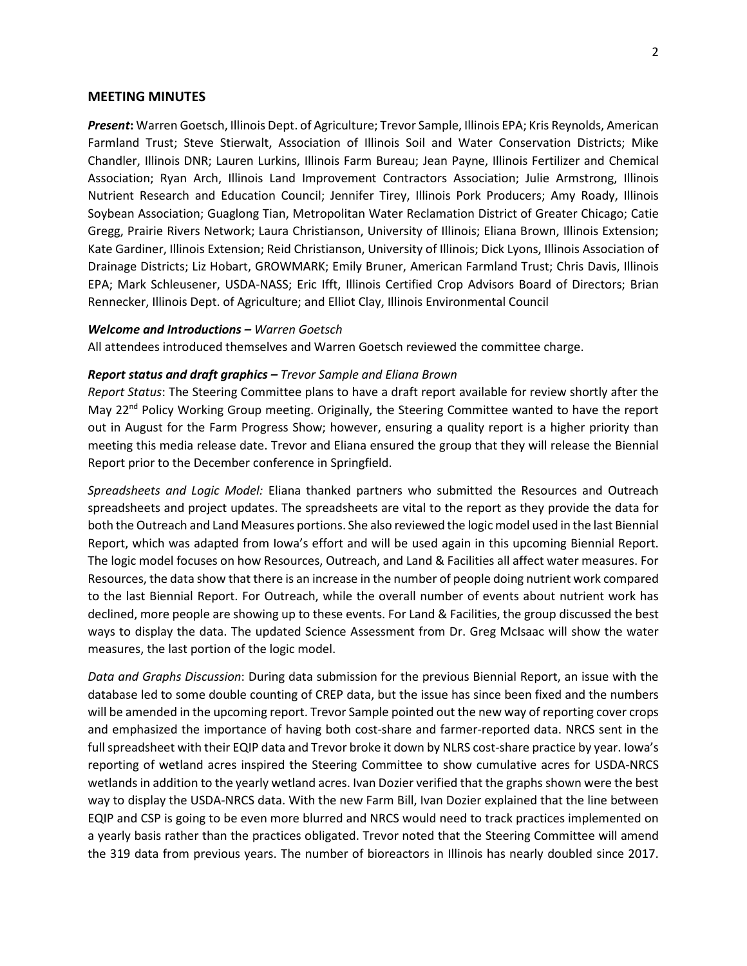#### **MEETING MINUTES**

*Present***:** Warren Goetsch, Illinois Dept. of Agriculture; Trevor Sample, Illinois EPA; Kris Reynolds, American Farmland Trust; Steve Stierwalt, Association of Illinois Soil and Water Conservation Districts; Mike Chandler, Illinois DNR; Lauren Lurkins, Illinois Farm Bureau; Jean Payne, Illinois Fertilizer and Chemical Association; Ryan Arch, Illinois Land Improvement Contractors Association; Julie Armstrong, Illinois Nutrient Research and Education Council; Jennifer Tirey, Illinois Pork Producers; Amy Roady, Illinois Soybean Association; Guaglong Tian, Metropolitan Water Reclamation District of Greater Chicago; Catie Gregg, Prairie Rivers Network; Laura Christianson, University of Illinois; Eliana Brown, Illinois Extension; Kate Gardiner, Illinois Extension; Reid Christianson, University of Illinois; Dick Lyons, Illinois Association of Drainage Districts; Liz Hobart, GROWMARK; Emily Bruner, American Farmland Trust; Chris Davis, Illinois EPA; Mark Schleusener, USDA-NASS; Eric Ifft, Illinois Certified Crop Advisors Board of Directors; Brian Rennecker, Illinois Dept. of Agriculture; and Elliot Clay, Illinois Environmental Council

#### *Welcome and Introductions – Warren Goetsch*

All attendees introduced themselves and Warren Goetsch reviewed the committee charge.

#### *Report status and draft graphics – Trevor Sample and Eliana Brown*

*Report Status*: The Steering Committee plans to have a draft report available for review shortly after the May 22<sup>nd</sup> Policy Working Group meeting. Originally, the Steering Committee wanted to have the report out in August for the Farm Progress Show; however, ensuring a quality report is a higher priority than meeting this media release date. Trevor and Eliana ensured the group that they will release the Biennial Report prior to the December conference in Springfield.

*Spreadsheets and Logic Model:* Eliana thanked partners who submitted the Resources and Outreach spreadsheets and project updates. The spreadsheets are vital to the report as they provide the data for both the Outreach and Land Measures portions. She also reviewed the logic model used in the last Biennial Report, which was adapted from Iowa's effort and will be used again in this upcoming Biennial Report. The logic model focuses on how Resources, Outreach, and Land & Facilities all affect water measures. For Resources, the data show that there is an increase in the number of people doing nutrient work compared to the last Biennial Report. For Outreach, while the overall number of events about nutrient work has declined, more people are showing up to these events. For Land & Facilities, the group discussed the best ways to display the data. The updated Science Assessment from Dr. Greg McIsaac will show the water measures, the last portion of the logic model.

*Data and Graphs Discussion*: During data submission for the previous Biennial Report, an issue with the database led to some double counting of CREP data, but the issue has since been fixed and the numbers will be amended in the upcoming report. Trevor Sample pointed out the new way of reporting cover crops and emphasized the importance of having both cost-share and farmer-reported data. NRCS sent in the full spreadsheet with their EQIP data and Trevor broke it down by NLRS cost-share practice by year. Iowa's reporting of wetland acres inspired the Steering Committee to show cumulative acres for USDA-NRCS wetlands in addition to the yearly wetland acres. Ivan Dozier verified that the graphs shown were the best way to display the USDA-NRCS data. With the new Farm Bill, Ivan Dozier explained that the line between EQIP and CSP is going to be even more blurred and NRCS would need to track practices implemented on a yearly basis rather than the practices obligated. Trevor noted that the Steering Committee will amend the 319 data from previous years. The number of bioreactors in Illinois has nearly doubled since 2017.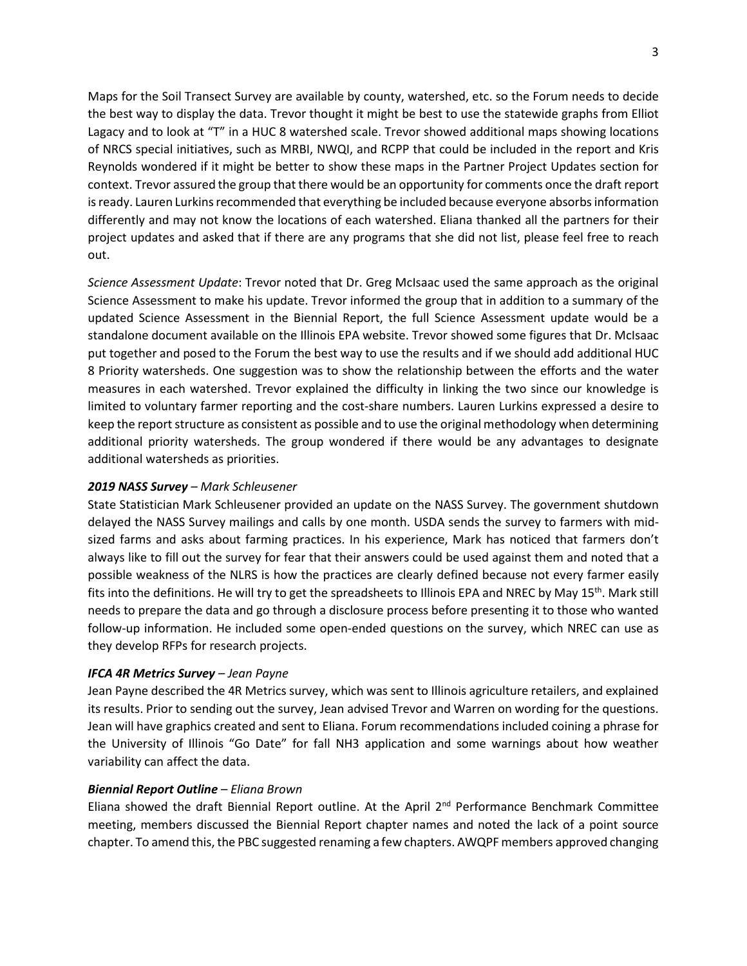Maps for the Soil Transect Survey are available by county, watershed, etc. so the Forum needs to decide the best way to display the data. Trevor thought it might be best to use the statewide graphs from Elliot Lagacy and to look at "T" in a HUC 8 watershed scale. Trevor showed additional maps showing locations of NRCS special initiatives, such as MRBI, NWQI, and RCPP that could be included in the report and Kris Reynolds wondered if it might be better to show these maps in the Partner Project Updates section for context. Trevor assured the group that there would be an opportunity for comments once the draft report is ready. Lauren Lurkins recommended that everything be included because everyone absorbs information differently and may not know the locations of each watershed. Eliana thanked all the partners for their project updates and asked that if there are any programs that she did not list, please feel free to reach out.

*Science Assessment Update*: Trevor noted that Dr. Greg McIsaac used the same approach as the original Science Assessment to make his update. Trevor informed the group that in addition to a summary of the updated Science Assessment in the Biennial Report, the full Science Assessment update would be a standalone document available on the Illinois EPA website. Trevor showed some figures that Dr. McIsaac put together and posed to the Forum the best way to use the results and if we should add additional HUC 8 Priority watersheds. One suggestion was to show the relationship between the efforts and the water measures in each watershed. Trevor explained the difficulty in linking the two since our knowledge is limited to voluntary farmer reporting and the cost-share numbers. Lauren Lurkins expressed a desire to keep the report structure as consistent as possible and to use the original methodology when determining additional priority watersheds. The group wondered if there would be any advantages to designate additional watersheds as priorities.

### *2019 NASS Survey – Mark Schleusener*

State Statistician Mark Schleusener provided an update on the NASS Survey. The government shutdown delayed the NASS Survey mailings and calls by one month. USDA sends the survey to farmers with midsized farms and asks about farming practices. In his experience, Mark has noticed that farmers don't always like to fill out the survey for fear that their answers could be used against them and noted that a possible weakness of the NLRS is how the practices are clearly defined because not every farmer easily fits into the definitions. He will try to get the spreadsheets to Illinois EPA and NREC by May 15<sup>th</sup>. Mark still needs to prepare the data and go through a disclosure process before presenting it to those who wanted follow-up information. He included some open-ended questions on the survey, which NREC can use as they develop RFPs for research projects.

## *IFCA 4R Metrics Survey – Jean Payne*

Jean Payne described the 4R Metrics survey, which was sent to Illinois agriculture retailers, and explained its results. Prior to sending out the survey, Jean advised Trevor and Warren on wording for the questions. Jean will have graphics created and sent to Eliana. Forum recommendations included coining a phrase for the University of Illinois "Go Date" for fall NH3 application and some warnings about how weather variability can affect the data.

#### *Biennial Report Outline – Eliana Brown*

Eliana showed the draft Biennial Report outline. At the April 2<sup>nd</sup> Performance Benchmark Committee meeting, members discussed the Biennial Report chapter names and noted the lack of a point source chapter. To amend this, the PBC suggested renaming a few chapters. AWQPF members approved changing